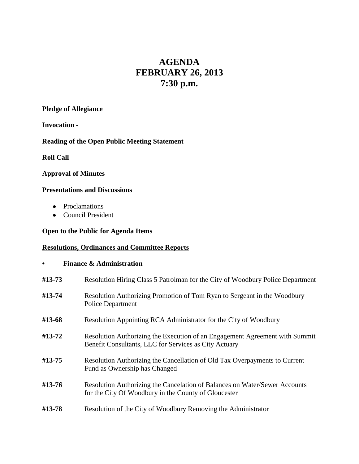# **AGENDA FEBRUARY 26, 2013 7:30 p.m.**

#### **Pledge of Allegiance**

**Invocation -**

**Reading of the Open Public Meeting Statement**

**Roll Call**

# **Approval of Minutes**

#### **Presentations and Discussions**

- Proclamations
- Council President

# **Open to the Public for Agenda Items**

# **Resolutions, Ordinances and Committee Reports**

|        | <b>Finance &amp; Administration</b>                                                                                                  |
|--------|--------------------------------------------------------------------------------------------------------------------------------------|
| #13-73 | Resolution Hiring Class 5 Patrolman for the City of Woodbury Police Department                                                       |
| #13-74 | Resolution Authorizing Promotion of Tom Ryan to Sergeant in the Woodbury<br><b>Police Department</b>                                 |
| #13-68 | Resolution Appointing RCA Administrator for the City of Woodbury                                                                     |
| #13-72 | Resolution Authorizing the Execution of an Engagement Agreement with Summit<br>Benefit Consultants, LLC for Services as City Actuary |
| #13-75 | Resolution Authorizing the Cancellation of Old Tax Overpayments to Current<br>Fund as Ownership has Changed                          |
| #13-76 | Resolution Authorizing the Cancelation of Balances on Water/Sewer Accounts<br>for the City Of Woodbury in the County of Gloucester   |
| #13-78 | Resolution of the City of Woodbury Removing the Administrator                                                                        |